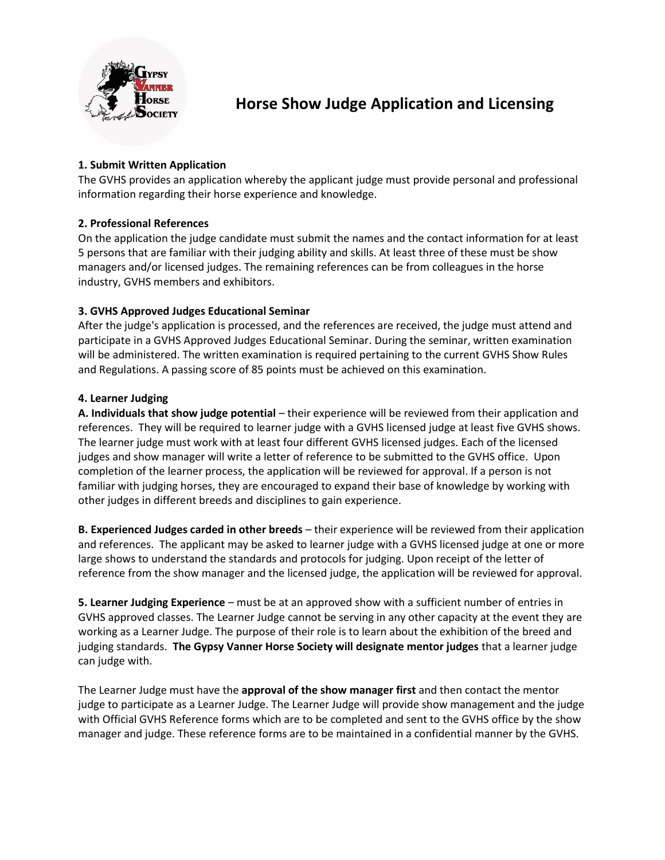

# **Horse Show Judge Application and Licensing**

## **1. Submit Written Application**

The GVHS provides an application whereby the applicant judge must provide personal and professional information regarding their horse experience and knowledge.

### **2. Professional References**

On the application the judge candidate must submit the names and the contact information for at least 5 persons that are familiar with their judging ability and skills. At least three of these must be show managers and/or licensed judges. The remaining references can be from colleagues in the horse industry, GVHS members and exhibitors.

### **3. GVHS Approved Judges Educational Seminar**

After the judge's application is processed, and the references are received, the judge must attend and participate in a GVHS Approved Judges Educational Seminar. During the seminar, written examination will be administered. The written examination is required pertaining to the current GVHS Show Rules and Regulations. A passing score of 85 points must be achieved on this examination.

#### **4. Learner Judging**

**A. Individuals that show judge potential** – their experience will be reviewed from their application and references. They will be required to learner judge with a GVHS licensed judge at least five GVHS shows. The learner judge must work with at least four different GVHS licensed judges. Each of the licensed judges and show manager will write a letter of reference to be submitted to the GVHS office. Upon completion of the learner process, the application will be reviewed for approval. If a person is not familiar with judging horses, they are encouraged to expand their base of knowledge by working with other judges in different breeds and disciplines to gain experience.

**B. Experienced Judges carded in other breeds** – their experience will be reviewed from their application and references. The applicant may be asked to learner judge with a GVHS licensed judge at one or more large shows to understand the standards and protocols for judging. Upon receipt of the letter of reference from the show manager and the licensed judge, the application will be reviewed for approval.

**5. Learner Judging Experience** – must be at an approved show with a sufficient number of entries in GVHS approved classes. The Learner Judge cannot be serving in any other capacity at the event they are working as a Learner Judge. The purpose of their role is to learn about the exhibition of the breed and judging standards. **The Gypsy Vanner Horse Society will designate mentor judges** that a learner judge can judge with.

The Learner Judge must have the **approval of the show manager first** and then contact the mentor judge to participate as a Learner Judge. The Learner Judge will provide show management and the judge with Official GVHS Reference forms which are to be completed and sent to the GVHS office by the show manager and judge. These reference forms are to be maintained in a confidential manner by the GVHS.